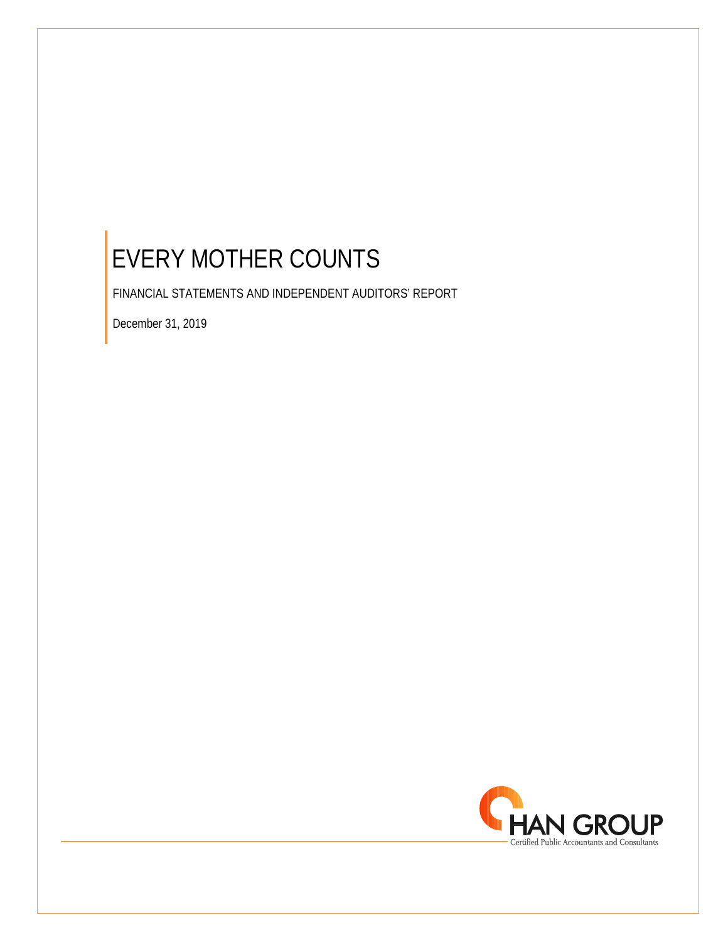FINANCIAL STATEMENTS AND INDEPENDENT AUDITORS' REPORT

December 31, 2019

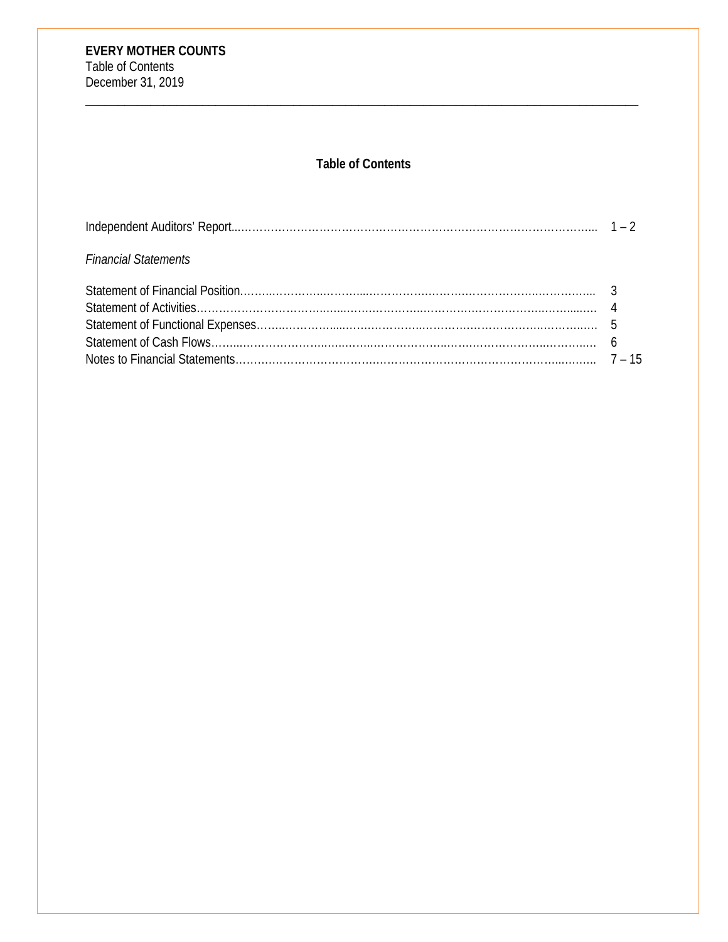# **Table of Contents**

| <b>Financial Statements</b> |  |
|-----------------------------|--|
|                             |  |
|                             |  |
|                             |  |
|                             |  |
|                             |  |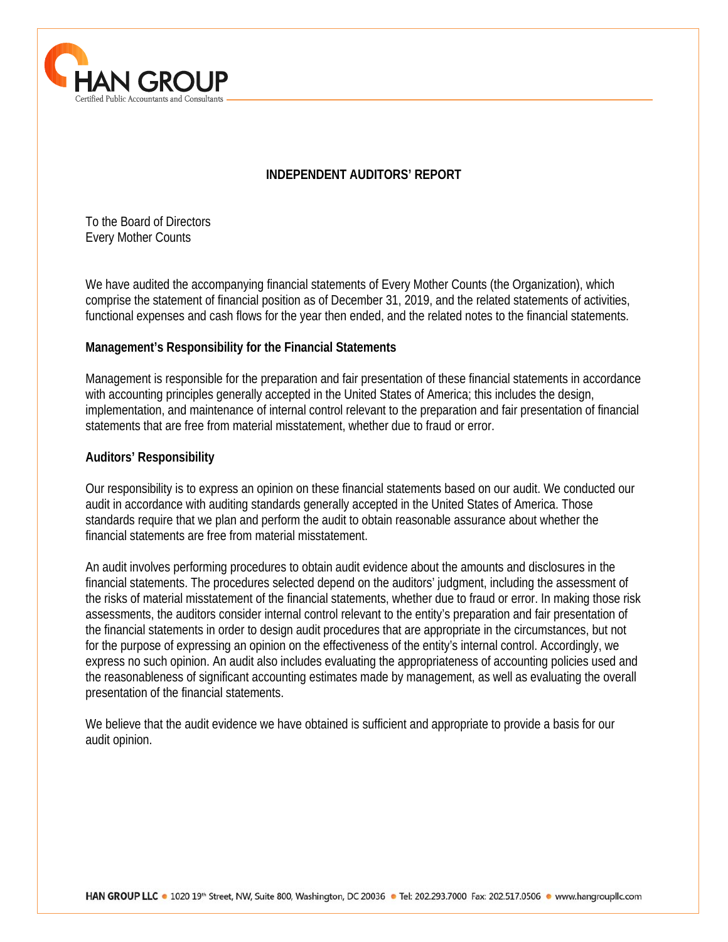

# **INDEPENDENT AUDITORS' REPORT**

To the Board of Directors Every Mother Counts

We have audited the accompanying financial statements of Every Mother Counts (the Organization), which comprise the statement of financial position as of December 31, 2019, and the related statements of activities, functional expenses and cash flows for the year then ended, and the related notes to the financial statements.

# **Management's Responsibility for the Financial Statements**

Management is responsible for the preparation and fair presentation of these financial statements in accordance with accounting principles generally accepted in the United States of America; this includes the design, implementation, and maintenance of internal control relevant to the preparation and fair presentation of financial statements that are free from material misstatement, whether due to fraud or error.

# **Auditors' Responsibility**

 $\overline{a}$ 

Our responsibility is to express an opinion on these financial statements based on our audit. We conducted our audit in accordance with auditing standards generally accepted in the United States of America. Those standards require that we plan and perform the audit to obtain reasonable assurance about whether the financial statements are free from material misstatement.

An audit involves performing procedures to obtain audit evidence about the amounts and disclosures in the financial statements. The procedures selected depend on the auditors' judgment, including the assessment of the risks of material misstatement of the financial statements, whether due to fraud or error. In making those risk assessments, the auditors consider internal control relevant to the entity's preparation and fair presentation of the financial statements in order to design audit procedures that are appropriate in the circumstances, but not for the purpose of expressing an opinion on the effectiveness of the entity's internal control. Accordingly, we express no such opinion. An audit also includes evaluating the appropriateness of accounting policies used and the reasonableness of significant accounting estimates made by management, as well as evaluating the overall presentation of the financial statements.

We believe that the audit evidence we have obtained is sufficient and appropriate to provide a basis for our audit opinion.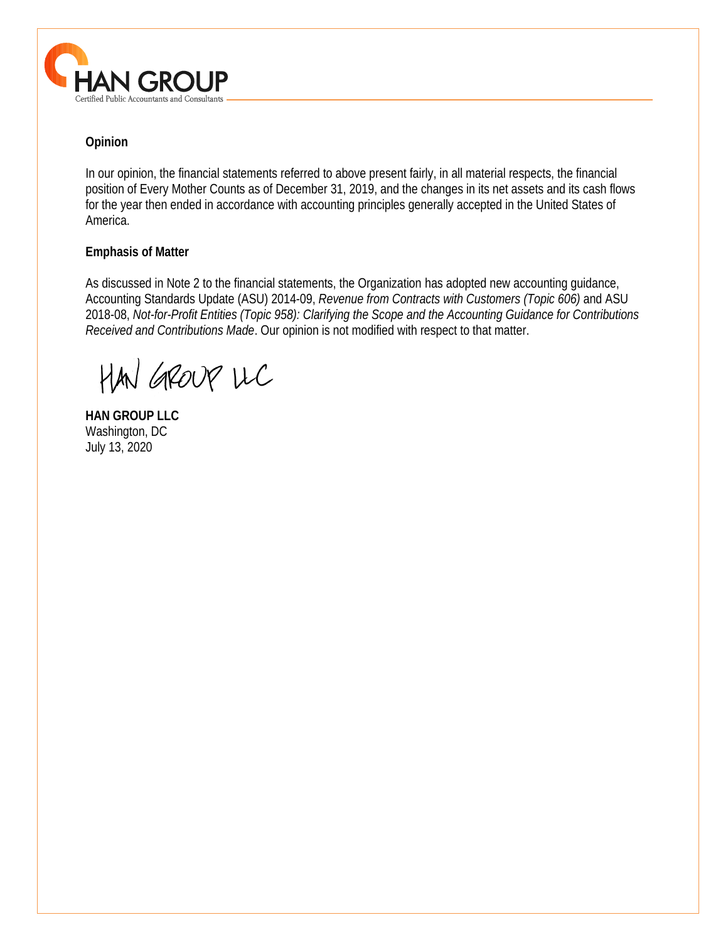

# **Opinion**

In our opinion, the financial statements referred to above present fairly, in all material respects, the financial position of Every Mother Counts as of December 31, 2019, and the changes in its net assets and its cash flows for the year then ended in accordance with accounting principles generally accepted in the United States of America.

# **Emphasis of Matter**

As discussed in Note 2 to the financial statements, the Organization has adopted new accounting guidance, Accounting Standards Update (ASU) 2014-09, *Revenue from Contracts with Customers (Topic 606)* and ASU 2018-08, *Not-for-Profit Entities (Topic 958): Clarifying the Scope and the Accounting Guidance for Contributions Received and Contributions Made*. Our opinion is not modified with respect to that matter.

HAN GROUP LLC

**HAN GROUP LLC**  Washington, DC July 13, 2020

 $\overline{a}$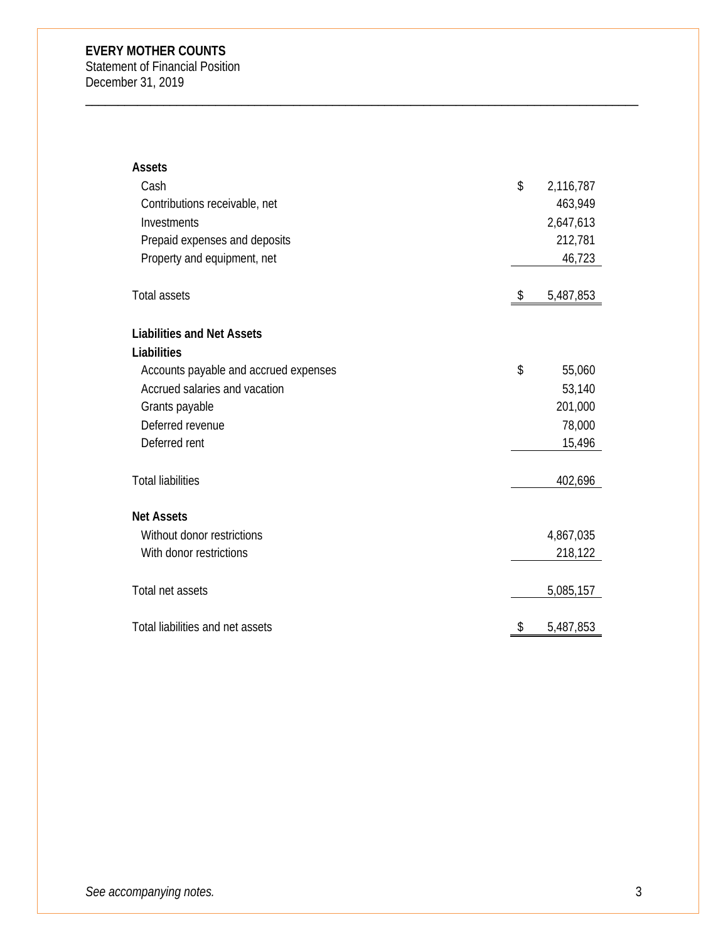Statement of Financial Position December 31, 2019

| <b>Assets</b>                         |                 |
|---------------------------------------|-----------------|
| Cash                                  | \$<br>2,116,787 |
| Contributions receivable, net         | 463,949         |
| Investments                           | 2,647,613       |
| Prepaid expenses and deposits         | 212,781         |
| Property and equipment, net           | 46,723          |
| <b>Total assets</b>                   | \$<br>5,487,853 |
| <b>Liabilities and Net Assets</b>     |                 |
| Liabilities                           |                 |
| Accounts payable and accrued expenses | \$<br>55,060    |
| Accrued salaries and vacation         | 53,140          |
| Grants payable                        | 201,000         |
| Deferred revenue                      | 78,000          |
| Deferred rent                         | 15,496          |
| <b>Total liabilities</b>              | 402,696         |
| <b>Net Assets</b>                     |                 |
| Without donor restrictions            | 4,867,035       |
| With donor restrictions               | 218,122         |
| Total net assets                      | 5,085,157       |
| Total liabilities and net assets      | \$<br>5,487,853 |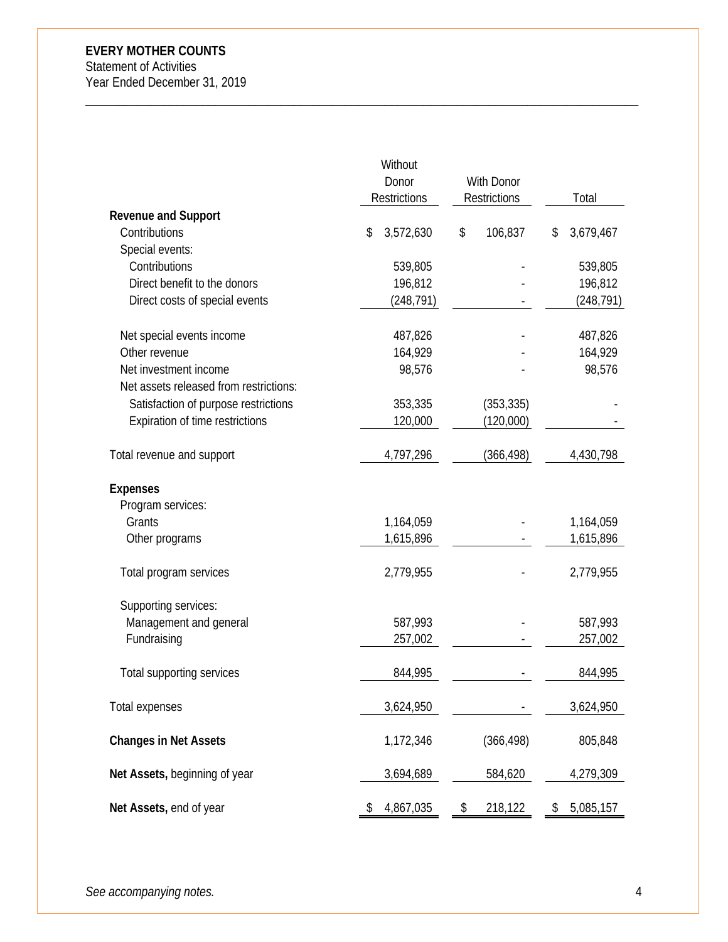Statement of Activities Year Ended December 31, 2019

|                                             | Without             |                   |                 |
|---------------------------------------------|---------------------|-------------------|-----------------|
|                                             | Donor               | <b>With Donor</b> |                 |
|                                             | <b>Restrictions</b> | Restrictions      | Total           |
| <b>Revenue and Support</b><br>Contributions | \$<br>3,572,630     | 106,837<br>\$     | 3,679,467<br>\$ |
| Special events:                             |                     |                   |                 |
| Contributions                               | 539,805             |                   | 539,805         |
| Direct benefit to the donors                | 196,812             |                   | 196,812         |
| Direct costs of special events              | (248,791)           |                   | (248, 791)      |
|                                             |                     |                   |                 |
| Net special events income                   | 487,826             |                   | 487,826         |
| Other revenue                               | 164,929             |                   | 164,929         |
| Net investment income                       | 98,576              |                   | 98,576          |
| Net assets released from restrictions:      |                     |                   |                 |
| Satisfaction of purpose restrictions        | 353,335             | (353, 335)        |                 |
| Expiration of time restrictions             | 120,000             | (120,000)         |                 |
|                                             |                     |                   |                 |
| Total revenue and support                   | 4,797,296           | (366,498)         | 4,430,798       |
| <b>Expenses</b>                             |                     |                   |                 |
| Program services:                           |                     |                   |                 |
| Grants                                      | 1,164,059           |                   | 1,164,059       |
| Other programs                              | 1,615,896           |                   | 1,615,896       |
|                                             |                     |                   |                 |
| Total program services                      | 2,779,955           |                   | 2,779,955       |
|                                             |                     |                   |                 |
| Supporting services:                        |                     |                   |                 |
| Management and general                      | 587,993             |                   | 587,993         |
| Fundraising                                 | 257,002             |                   | 257,002         |
| Total supporting services                   | 844,995             |                   | 844,995         |
|                                             |                     |                   |                 |
| Total expenses                              | 3,624,950           |                   | 3,624,950       |
|                                             |                     |                   |                 |
| <b>Changes in Net Assets</b>                | 1,172,346           | (366, 498)        | 805,848         |
| Net Assets, beginning of year               | 3,694,689           | 584,620           | 4,279,309       |
|                                             |                     |                   |                 |
| Net Assets, end of year                     | 4,867,035<br>\$     | \$<br>218,122     | 5,085,157<br>\$ |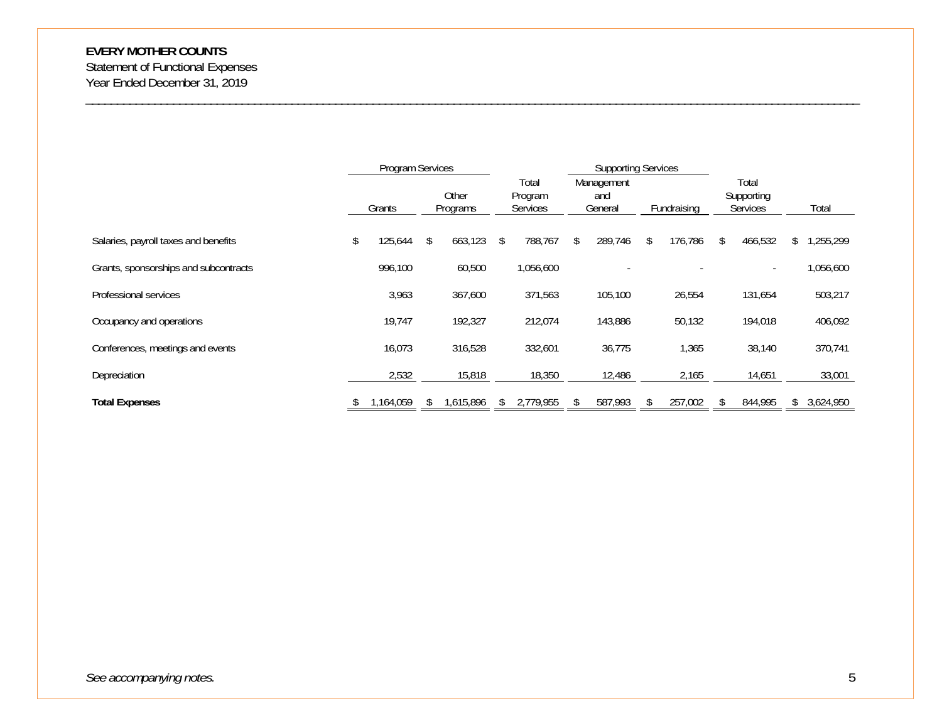Statement of Functional Expenses Year Ended December 31, 2019

|                                       | Program Services |    | Other     |    | Total<br>Program | <b>Supporting Services</b><br>Management<br>and |   |             | Total<br>Supporting |           |
|---------------------------------------|------------------|----|-----------|----|------------------|-------------------------------------------------|---|-------------|---------------------|-----------|
|                                       | Grants           |    | Programs  |    | Services         | General                                         |   | Fundraising | Services            | Total     |
| Salaries, payroll taxes and benefits  | \$<br>125,644    | \$ | 663,123   | S. | 788,767          | \$<br>289,746                                   | S | 176,786     | 466,532             | ,255,299  |
| Grants, sponsorships and subcontracts | 996,100          |    | 60,500    |    | 1,056,600        |                                                 |   |             |                     | 1,056,600 |
| Professional services                 | 3,963            |    | 367,600   |    | 371,563          | 105,100                                         |   | 26,554      | 131,654             | 503,217   |
| Occupancy and operations              | 19,747           |    | 192,327   |    | 212,074          | 143,886                                         |   | 50,132      | 194,018             | 406,092   |
| Conferences, meetings and events      | 16,073           |    | 316,528   |    | 332,601          | 36,775                                          |   | 1,365       | 38,140              | 370,741   |
| Depreciation                          | 2,532            |    | 15,818    |    | 18,350           | 12,486                                          |   | 2,165       | 14,651              | 33,001    |
| <b>Total Expenses</b>                 | 1,164,059        | S. | 1,615,896 | S  | 2,779,955        | 587,993                                         |   | 257,002     | 844,995             | 3,624,950 |

\_\_\_\_\_\_\_\_\_\_\_\_\_\_\_\_\_\_\_\_\_\_\_\_\_\_\_\_\_\_\_\_\_\_\_\_\_\_\_\_\_\_\_\_\_\_\_\_\_\_\_\_\_\_\_\_\_\_\_\_\_\_\_\_\_\_\_\_\_\_\_\_\_\_\_\_\_\_\_\_\_\_\_\_\_\_\_\_\_\_\_\_\_\_\_\_\_\_\_\_\_\_\_\_\_\_\_\_\_\_\_\_\_\_\_\_\_\_\_\_\_\_\_\_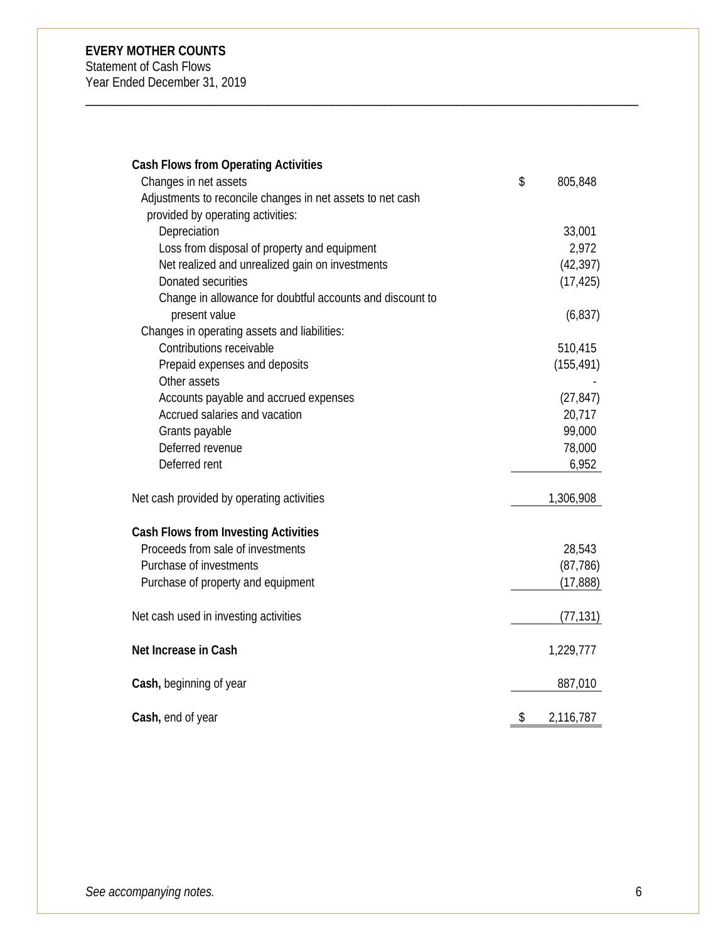Statement of Cash Flows Year Ended December 31, 2019

| <b>Cash Flows from Operating Activities</b>                |                 |
|------------------------------------------------------------|-----------------|
| Changes in net assets                                      | \$<br>805,848   |
| Adjustments to reconcile changes in net assets to net cash |                 |
| provided by operating activities:                          |                 |
| Depreciation                                               | 33,001          |
| Loss from disposal of property and equipment               | 2,972           |
| Net realized and unrealized gain on investments            | (42, 397)       |
| Donated securities                                         | (17, 425)       |
| Change in allowance for doubtful accounts and discount to  |                 |
| present value                                              | (6, 837)        |
| Changes in operating assets and liabilities:               |                 |
| Contributions receivable                                   | 510,415         |
| Prepaid expenses and deposits                              | (155, 491)      |
| Other assets                                               |                 |
| Accounts payable and accrued expenses                      | (27, 847)       |
| Accrued salaries and vacation                              | 20,717          |
| Grants payable                                             | 99,000          |
| Deferred revenue                                           | 78,000          |
| Deferred rent                                              | 6,952           |
| Net cash provided by operating activities                  | 1,306,908       |
| <b>Cash Flows from Investing Activities</b>                |                 |
| Proceeds from sale of investments                          | 28,543          |
| Purchase of investments                                    | (87, 786)       |
| Purchase of property and equipment                         | (17, 888)       |
| Net cash used in investing activities                      | (77, 131)       |
| Net Increase in Cash                                       | 1,229,777       |
| Cash, beginning of year                                    | 887,010         |
| Cash, end of year                                          | \$<br>2,116,787 |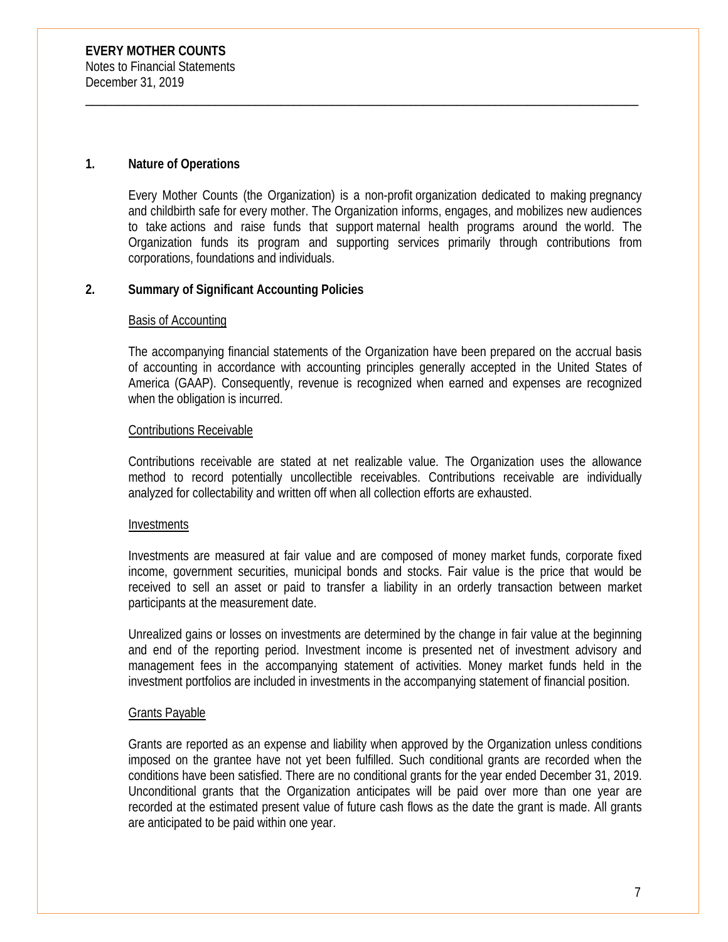# **1. Nature of Operations**

Every Mother Counts (the Organization) is a non-profit organization dedicated to making pregnancy and childbirth safe for every mother. The Organization informs, engages, and mobilizes new audiences to take actions and raise funds that support maternal health programs around the world. The Organization funds its program and supporting services primarily through contributions from corporations, foundations and individuals.

\_\_\_\_\_\_\_\_\_\_\_\_\_\_\_\_\_\_\_\_\_\_\_\_\_\_\_\_\_\_\_\_\_\_\_\_\_\_\_\_\_\_\_\_\_\_\_\_\_\_\_\_\_\_\_\_\_\_\_\_\_\_\_\_\_\_\_\_\_\_\_\_\_\_\_\_\_\_\_\_\_\_\_\_\_

# **2. Summary of Significant Accounting Policies**

#### Basis of Accounting

The accompanying financial statements of the Organization have been prepared on the accrual basis of accounting in accordance with accounting principles generally accepted in the United States of America (GAAP). Consequently, revenue is recognized when earned and expenses are recognized when the obligation is incurred.

# Contributions Receivable

Contributions receivable are stated at net realizable value. The Organization uses the allowance method to record potentially uncollectible receivables. Contributions receivable are individually analyzed for collectability and written off when all collection efforts are exhausted.

#### Investments

Investments are measured at fair value and are composed of money market funds, corporate fixed income, government securities, municipal bonds and stocks. Fair value is the price that would be received to sell an asset or paid to transfer a liability in an orderly transaction between market participants at the measurement date.

Unrealized gains or losses on investments are determined by the change in fair value at the beginning and end of the reporting period. Investment income is presented net of investment advisory and management fees in the accompanying statement of activities. Money market funds held in the investment portfolios are included in investments in the accompanying statement of financial position.

# Grants Payable

Grants are reported as an expense and liability when approved by the Organization unless conditions imposed on the grantee have not yet been fulfilled. Such conditional grants are recorded when the conditions have been satisfied. There are no conditional grants for the year ended December 31, 2019. Unconditional grants that the Organization anticipates will be paid over more than one year are recorded at the estimated present value of future cash flows as the date the grant is made. All grants are anticipated to be paid within one year.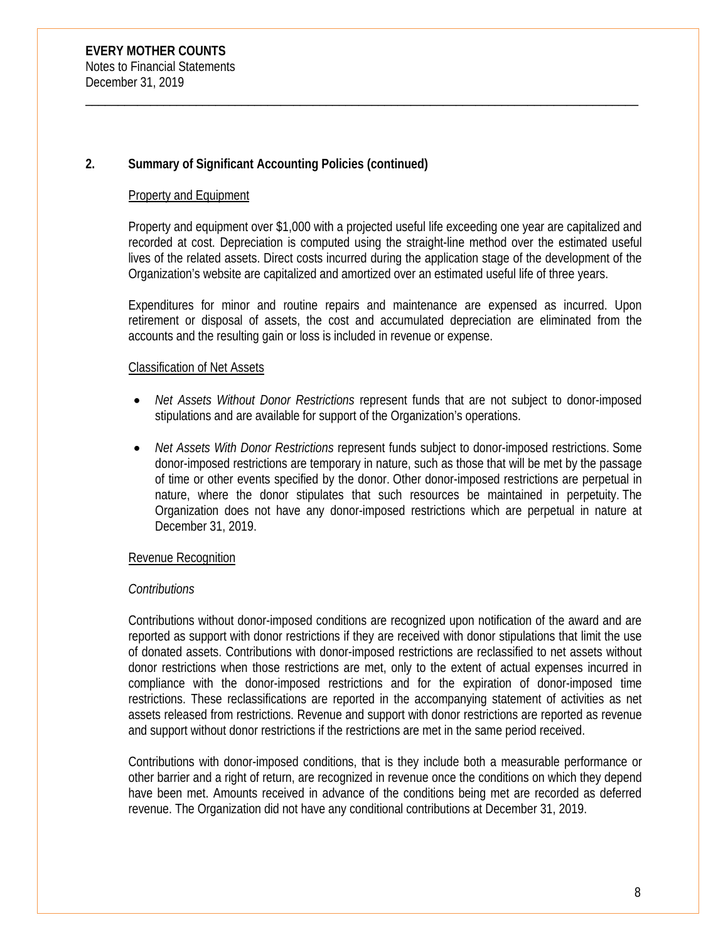# **2. Summary of Significant Accounting Policies (continued)**

# Property and Equipment

Property and equipment over \$1,000 with a projected useful life exceeding one year are capitalized and recorded at cost. Depreciation is computed using the straight-line method over the estimated useful lives of the related assets. Direct costs incurred during the application stage of the development of the Organization's website are capitalized and amortized over an estimated useful life of three years.

\_\_\_\_\_\_\_\_\_\_\_\_\_\_\_\_\_\_\_\_\_\_\_\_\_\_\_\_\_\_\_\_\_\_\_\_\_\_\_\_\_\_\_\_\_\_\_\_\_\_\_\_\_\_\_\_\_\_\_\_\_\_\_\_\_\_\_\_\_\_\_\_\_\_\_\_\_\_\_\_\_\_\_\_\_

Expenditures for minor and routine repairs and maintenance are expensed as incurred. Upon retirement or disposal of assets, the cost and accumulated depreciation are eliminated from the accounts and the resulting gain or loss is included in revenue or expense.

# Classification of Net Assets

- *Net Assets Without Donor Restrictions* represent funds that are not subject to donor-imposed stipulations and are available for support of the Organization's operations.
- *Net Assets With Donor Restrictions* represent funds subject to donor-imposed restrictions. Some donor-imposed restrictions are temporary in nature, such as those that will be met by the passage of time or other events specified by the donor. Other donor-imposed restrictions are perpetual in nature, where the donor stipulates that such resources be maintained in perpetuity. The Organization does not have any donor-imposed restrictions which are perpetual in nature at December 31, 2019.

# Revenue Recognition

# *Contributions*

Contributions without donor-imposed conditions are recognized upon notification of the award and are reported as support with donor restrictions if they are received with donor stipulations that limit the use of donated assets. Contributions with donor-imposed restrictions are reclassified to net assets without donor restrictions when those restrictions are met, only to the extent of actual expenses incurred in compliance with the donor-imposed restrictions and for the expiration of donor-imposed time restrictions. These reclassifications are reported in the accompanying statement of activities as net assets released from restrictions. Revenue and support with donor restrictions are reported as revenue and support without donor restrictions if the restrictions are met in the same period received.

Contributions with donor-imposed conditions, that is they include both a measurable performance or other barrier and a right of return, are recognized in revenue once the conditions on which they depend have been met. Amounts received in advance of the conditions being met are recorded as deferred revenue. The Organization did not have any conditional contributions at December 31, 2019.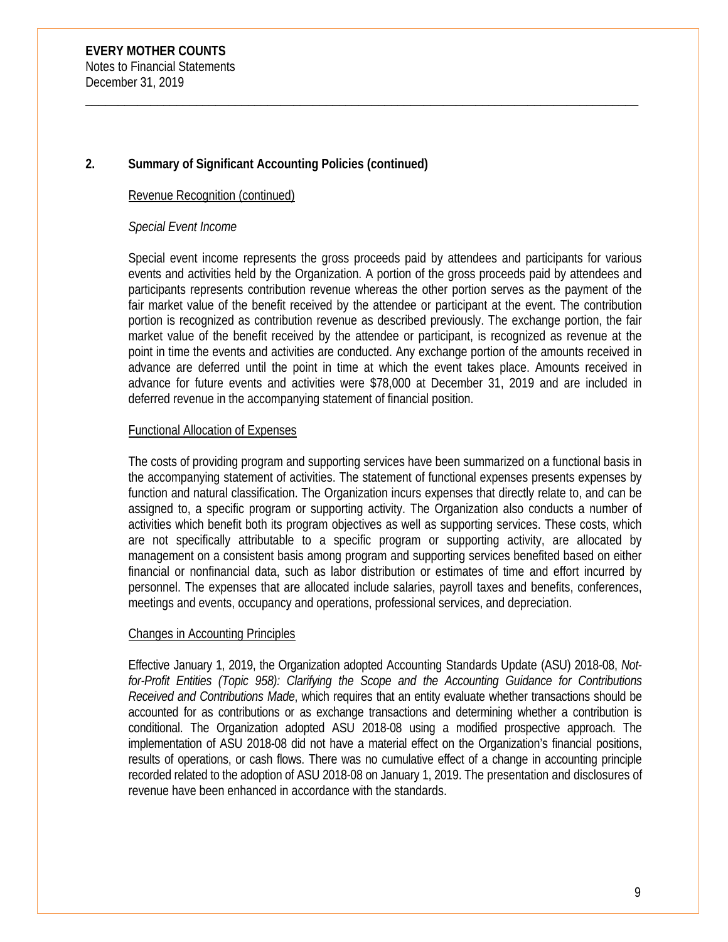# **2. Summary of Significant Accounting Policies (continued)**

#### Revenue Recognition (continued)

#### *Special Event Income*

Special event income represents the gross proceeds paid by attendees and participants for various events and activities held by the Organization. A portion of the gross proceeds paid by attendees and participants represents contribution revenue whereas the other portion serves as the payment of the fair market value of the benefit received by the attendee or participant at the event. The contribution portion is recognized as contribution revenue as described previously. The exchange portion, the fair market value of the benefit received by the attendee or participant, is recognized as revenue at the point in time the events and activities are conducted. Any exchange portion of the amounts received in advance are deferred until the point in time at which the event takes place. Amounts received in advance for future events and activities were \$78,000 at December 31, 2019 and are included in deferred revenue in the accompanying statement of financial position.

\_\_\_\_\_\_\_\_\_\_\_\_\_\_\_\_\_\_\_\_\_\_\_\_\_\_\_\_\_\_\_\_\_\_\_\_\_\_\_\_\_\_\_\_\_\_\_\_\_\_\_\_\_\_\_\_\_\_\_\_\_\_\_\_\_\_\_\_\_\_\_\_\_\_\_\_\_\_\_\_\_\_\_\_\_

#### Functional Allocation of Expenses

The costs of providing program and supporting services have been summarized on a functional basis in the accompanying statement of activities. The statement of functional expenses presents expenses by function and natural classification. The Organization incurs expenses that directly relate to, and can be assigned to, a specific program or supporting activity. The Organization also conducts a number of activities which benefit both its program objectives as well as supporting services. These costs, which are not specifically attributable to a specific program or supporting activity, are allocated by management on a consistent basis among program and supporting services benefited based on either financial or nonfinancial data, such as labor distribution or estimates of time and effort incurred by personnel. The expenses that are allocated include salaries, payroll taxes and benefits, conferences, meetings and events, occupancy and operations, professional services, and depreciation.

#### Changes in Accounting Principles

Effective January 1, 2019, the Organization adopted Accounting Standards Update (ASU) 2018-08, *Notfor-Profit Entities (Topic 958): Clarifying the Scope and the Accounting Guidance for Contributions Received and Contributions Made*, which requires that an entity evaluate whether transactions should be accounted for as contributions or as exchange transactions and determining whether a contribution is conditional. The Organization adopted ASU 2018-08 using a modified prospective approach. The implementation of ASU 2018-08 did not have a material effect on the Organization's financial positions, results of operations, or cash flows. There was no cumulative effect of a change in accounting principle recorded related to the adoption of ASU 2018-08 on January 1, 2019. The presentation and disclosures of revenue have been enhanced in accordance with the standards.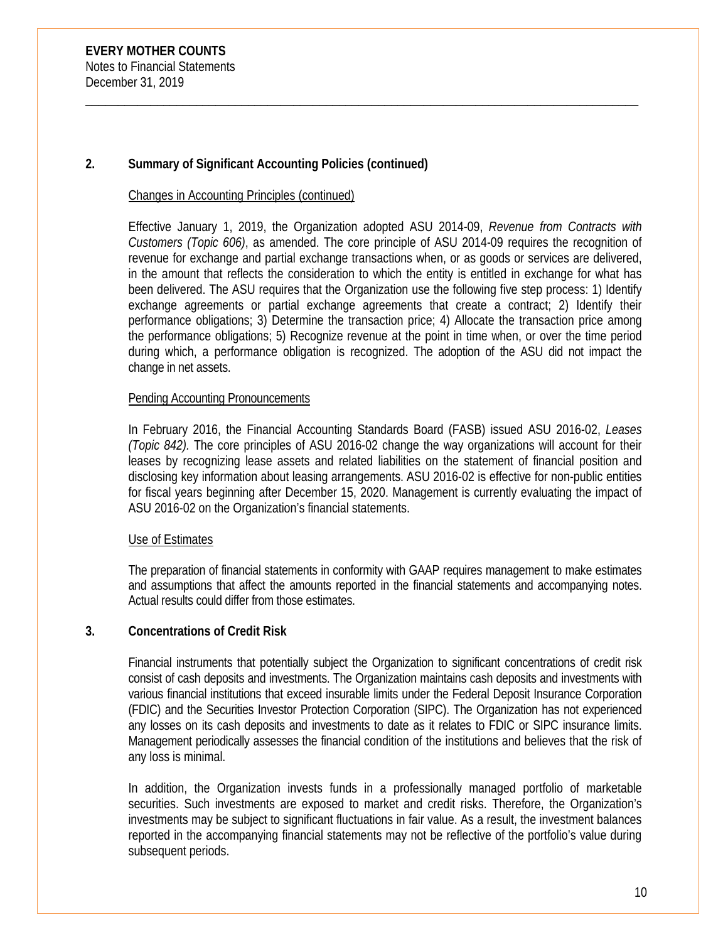# **2. Summary of Significant Accounting Policies (continued)**

#### Changes in Accounting Principles (continued)

Effective January 1, 2019, the Organization adopted ASU 2014-09, *Revenue from Contracts with Customers (Topic 606)*, as amended. The core principle of ASU 2014-09 requires the recognition of revenue for exchange and partial exchange transactions when, or as goods or services are delivered, in the amount that reflects the consideration to which the entity is entitled in exchange for what has been delivered. The ASU requires that the Organization use the following five step process: 1) Identify exchange agreements or partial exchange agreements that create a contract; 2) Identify their performance obligations; 3) Determine the transaction price; 4) Allocate the transaction price among the performance obligations; 5) Recognize revenue at the point in time when, or over the time period during which, a performance obligation is recognized. The adoption of the ASU did not impact the change in net assets.

\_\_\_\_\_\_\_\_\_\_\_\_\_\_\_\_\_\_\_\_\_\_\_\_\_\_\_\_\_\_\_\_\_\_\_\_\_\_\_\_\_\_\_\_\_\_\_\_\_\_\_\_\_\_\_\_\_\_\_\_\_\_\_\_\_\_\_\_\_\_\_\_\_\_\_\_\_\_\_\_\_\_\_\_\_

#### Pending Accounting Pronouncements

In February 2016, the Financial Accounting Standards Board (FASB) issued ASU 2016-02, *Leases (Topic 842).* The core principles of ASU 2016-02 change the way organizations will account for their leases by recognizing lease assets and related liabilities on the statement of financial position and disclosing key information about leasing arrangements. ASU 2016-02 is effective for non-public entities for fiscal years beginning after December 15, 2020. Management is currently evaluating the impact of ASU 2016-02 on the Organization's financial statements.

#### Use of Estimates

The preparation of financial statements in conformity with GAAP requires management to make estimates and assumptions that affect the amounts reported in the financial statements and accompanying notes. Actual results could differ from those estimates.

# **3. Concentrations of Credit Risk**

Financial instruments that potentially subject the Organization to significant concentrations of credit risk consist of cash deposits and investments. The Organization maintains cash deposits and investments with various financial institutions that exceed insurable limits under the Federal Deposit Insurance Corporation (FDIC) and the Securities Investor Protection Corporation (SIPC). The Organization has not experienced any losses on its cash deposits and investments to date as it relates to FDIC or SIPC insurance limits. Management periodically assesses the financial condition of the institutions and believes that the risk of any loss is minimal.

In addition, the Organization invests funds in a professionally managed portfolio of marketable securities. Such investments are exposed to market and credit risks. Therefore, the Organization's investments may be subject to significant fluctuations in fair value. As a result, the investment balances reported in the accompanying financial statements may not be reflective of the portfolio's value during subsequent periods.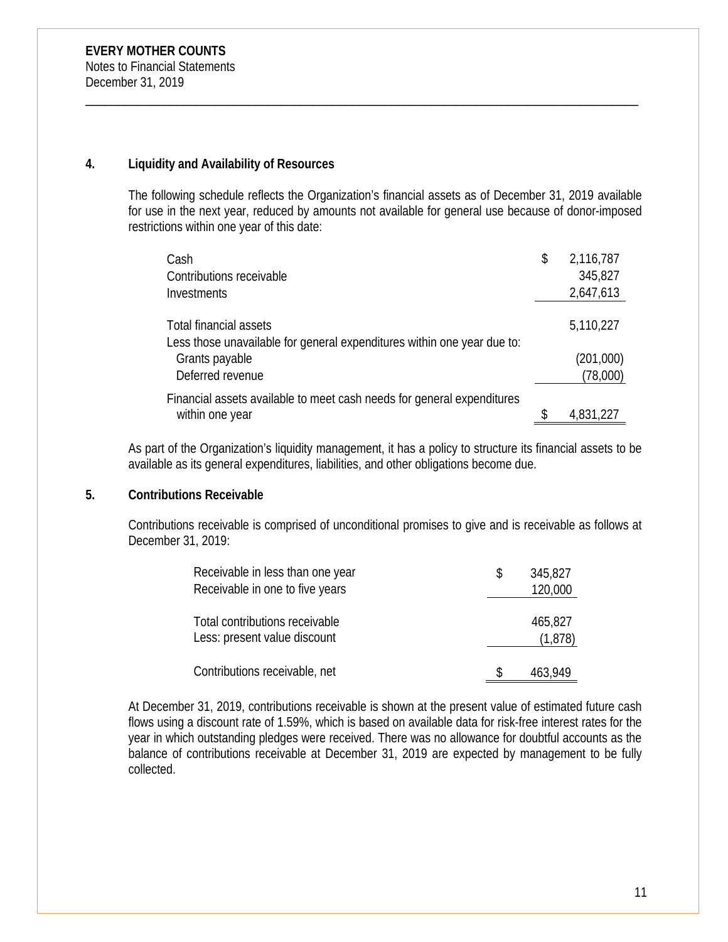# **4. Liquidity and Availability of Resources**

The following schedule reflects the Organization's financial assets as of December 31, 2019 available for use in the next year, reduced by amounts not available for general use because of donor-imposed restrictions within one year of this date:

\_\_\_\_\_\_\_\_\_\_\_\_\_\_\_\_\_\_\_\_\_\_\_\_\_\_\_\_\_\_\_\_\_\_\_\_\_\_\_\_\_\_\_\_\_\_\_\_\_\_\_\_\_\_\_\_\_\_\_\_\_\_\_\_\_\_\_\_\_\_\_\_\_\_\_\_\_\_\_\_\_\_\_\_\_

| Cash                                                                                              | \$<br>2,116,787       |
|---------------------------------------------------------------------------------------------------|-----------------------|
| Contributions receivable                                                                          | 345,827               |
| Investments                                                                                       | 2,647,613             |
| Total financial assets<br>Less those unavailable for general expenditures within one year due to: | 5,110,227             |
| Grants payable<br>Deferred revenue                                                                | (201,000)<br>(78,000) |
| Financial assets available to meet cash needs for general expenditures<br>within one year         | 4,831,227             |

As part of the Organization's liquidity management, it has a policy to structure its financial assets to be available as its general expenditures, liabilities, and other obligations become due.

# **5. Contributions Receivable**

Contributions receivable is comprised of unconditional promises to give and is receivable as follows at December 31, 2019:

| Receivable in less than one year | S | 345,827 |
|----------------------------------|---|---------|
| Receivable in one to five years  |   | 120,000 |
| Total contributions receivable   |   | 465,827 |
| Less: present value discount     |   | (1,878) |
| Contributions receivable, net    |   | 463,949 |

At December 31, 2019, contributions receivable is shown at the present value of estimated future cash flows using a discount rate of 1.59%, which is based on available data for risk-free interest rates for the year in which outstanding pledges were received. There was no allowance for doubtful accounts as the balance of contributions receivable at December 31, 2019 are expected by management to be fully collected.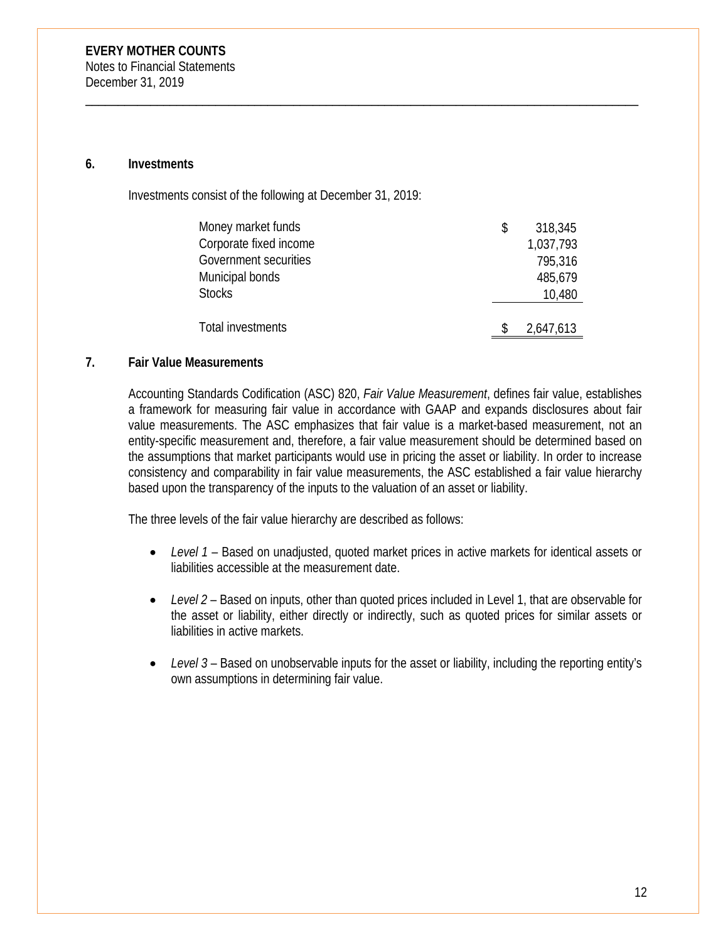#### **6. Investments**

Investments consist of the following at December 31, 2019:

| Money market funds     | \$<br>318,345 |
|------------------------|---------------|
| Corporate fixed income | 1,037,793     |
| Government securities  | 795,316       |
| Municipal bonds        | 485,679       |
| <b>Stocks</b>          | 10,480        |
|                        |               |
| Total investments      | 2,647,613     |

\_\_\_\_\_\_\_\_\_\_\_\_\_\_\_\_\_\_\_\_\_\_\_\_\_\_\_\_\_\_\_\_\_\_\_\_\_\_\_\_\_\_\_\_\_\_\_\_\_\_\_\_\_\_\_\_\_\_\_\_\_\_\_\_\_\_\_\_\_\_\_\_\_\_\_\_\_\_\_\_\_\_\_\_\_

# **7. Fair Value Measurements**

Accounting Standards Codification (ASC) 820, *Fair Value Measurement*, defines fair value, establishes a framework for measuring fair value in accordance with GAAP and expands disclosures about fair value measurements. The ASC emphasizes that fair value is a market-based measurement, not an entity-specific measurement and, therefore, a fair value measurement should be determined based on the assumptions that market participants would use in pricing the asset or liability. In order to increase consistency and comparability in fair value measurements, the ASC established a fair value hierarchy based upon the transparency of the inputs to the valuation of an asset or liability.

The three levels of the fair value hierarchy are described as follows:

- *Level 1* Based on unadjusted, quoted market prices in active markets for identical assets or liabilities accessible at the measurement date.
- *Level 2* Based on inputs, other than quoted prices included in Level 1, that are observable for the asset or liability, either directly or indirectly, such as quoted prices for similar assets or liabilities in active markets.
- *Level 3* Based on unobservable inputs for the asset or liability, including the reporting entity's own assumptions in determining fair value.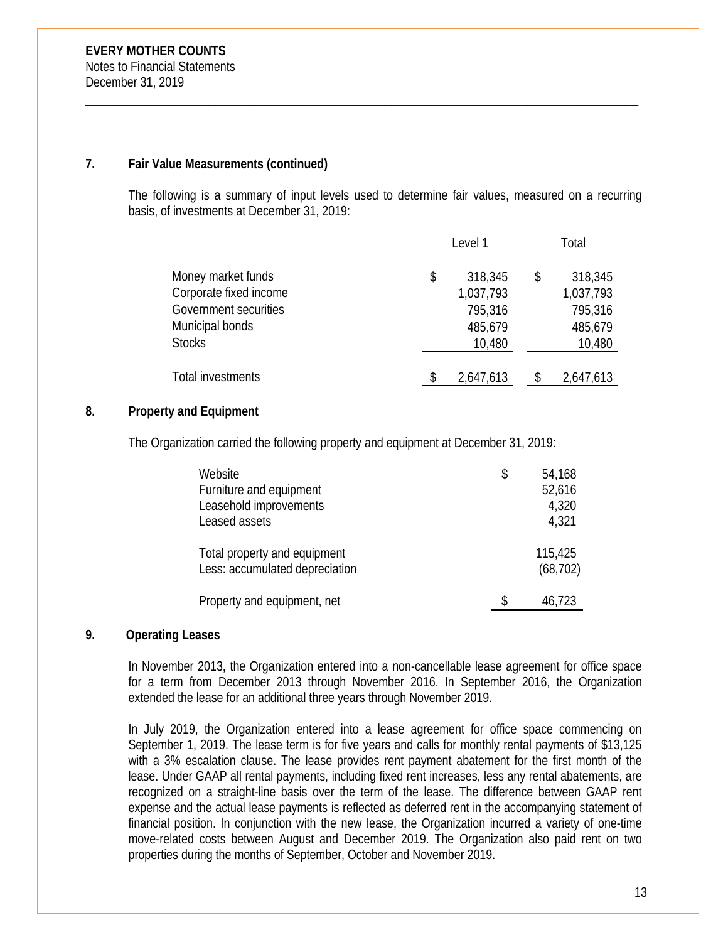# **7. Fair Value Measurements (continued)**

The following is a summary of input levels used to determine fair values, measured on a recurring basis, of investments at December 31, 2019:

\_\_\_\_\_\_\_\_\_\_\_\_\_\_\_\_\_\_\_\_\_\_\_\_\_\_\_\_\_\_\_\_\_\_\_\_\_\_\_\_\_\_\_\_\_\_\_\_\_\_\_\_\_\_\_\_\_\_\_\_\_\_\_\_\_\_\_\_\_\_\_\_\_\_\_\_\_\_\_\_\_\_\_\_\_

|                        | Level 1 |           | Total     |
|------------------------|---------|-----------|-----------|
| Money market funds     |         |           |           |
|                        | \$      | 318,345   | 318,345   |
| Corporate fixed income |         | 1,037,793 | 1,037,793 |
| Government securities  |         | 795,316   | 795,316   |
| Municipal bonds        |         | 485,679   | 485,679   |
| <b>Stocks</b>          |         | 10,480    | 10,480    |
|                        |         |           |           |
| Total investments      |         | 2,647,613 | 2,647,613 |

# **8. Property and Equipment**

The Organization carried the following property and equipment at December 31, 2019:

| Website<br>Furniture and equipment<br>Leasehold improvements<br>Leased assets | \$<br>54,168<br>52,616<br>4,320<br>4,321 |
|-------------------------------------------------------------------------------|------------------------------------------|
| Total property and equipment<br>Less: accumulated depreciation                | 115,425<br>(68, 702)                     |
| Property and equipment, net                                                   | 46,723                                   |

# **9. Operating Leases**

In November 2013, the Organization entered into a non-cancellable lease agreement for office space for a term from December 2013 through November 2016. In September 2016, the Organization extended the lease for an additional three years through November 2019.

In July 2019, the Organization entered into a lease agreement for office space commencing on September 1, 2019. The lease term is for five years and calls for monthly rental payments of \$13,125 with a 3% escalation clause. The lease provides rent payment abatement for the first month of the lease. Under GAAP all rental payments, including fixed rent increases, less any rental abatements, are recognized on a straight-line basis over the term of the lease. The difference between GAAP rent expense and the actual lease payments is reflected as deferred rent in the accompanying statement of financial position. In conjunction with the new lease, the Organization incurred a variety of one-time move-related costs between August and December 2019. The Organization also paid rent on two properties during the months of September, October and November 2019.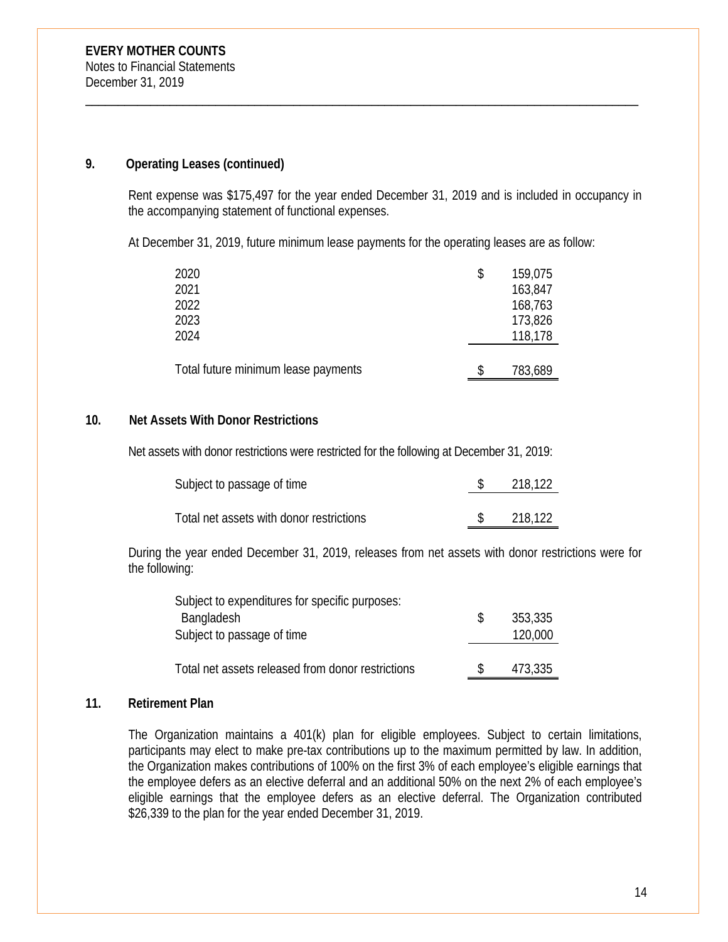# **9. Operating Leases (continued)**

Rent expense was \$175,497 for the year ended December 31, 2019 and is included in occupancy in the accompanying statement of functional expenses.

At December 31, 2019, future minimum lease payments for the operating leases are as follow:

\_\_\_\_\_\_\_\_\_\_\_\_\_\_\_\_\_\_\_\_\_\_\_\_\_\_\_\_\_\_\_\_\_\_\_\_\_\_\_\_\_\_\_\_\_\_\_\_\_\_\_\_\_\_\_\_\_\_\_\_\_\_\_\_\_\_\_\_\_\_\_\_\_\_\_\_\_\_\_\_\_\_\_\_\_

| 2020                                | 159,075 |
|-------------------------------------|---------|
| 2021                                | 163,847 |
| 2022                                | 168,763 |
| 2023                                | 173,826 |
| 2024                                | 118,178 |
|                                     |         |
| Total future minimum lease payments | 783,689 |

# **10. Net Assets With Donor Restrictions**

Net assets with donor restrictions were restricted for the following at December 31, 2019:

| Subject to passage of time               | 218,122 |
|------------------------------------------|---------|
|                                          |         |
| Total net assets with donor restrictions | 218.122 |

During the year ended December 31, 2019, releases from net assets with donor restrictions were for the following:

| Subject to expenditures for specific purposes:    |         |
|---------------------------------------------------|---------|
| Bangladesh                                        | 353,335 |
| Subject to passage of time                        | 120,000 |
|                                                   |         |
| Total net assets released from donor restrictions | 473,335 |

# **11. Retirement Plan**

The Organization maintains a 401(k) plan for eligible employees. Subject to certain limitations, participants may elect to make pre-tax contributions up to the maximum permitted by law. In addition, the Organization makes contributions of 100% on the first 3% of each employee's eligible earnings that the employee defers as an elective deferral and an additional 50% on the next 2% of each employee's eligible earnings that the employee defers as an elective deferral. The Organization contributed \$26,339 to the plan for the year ended December 31, 2019.